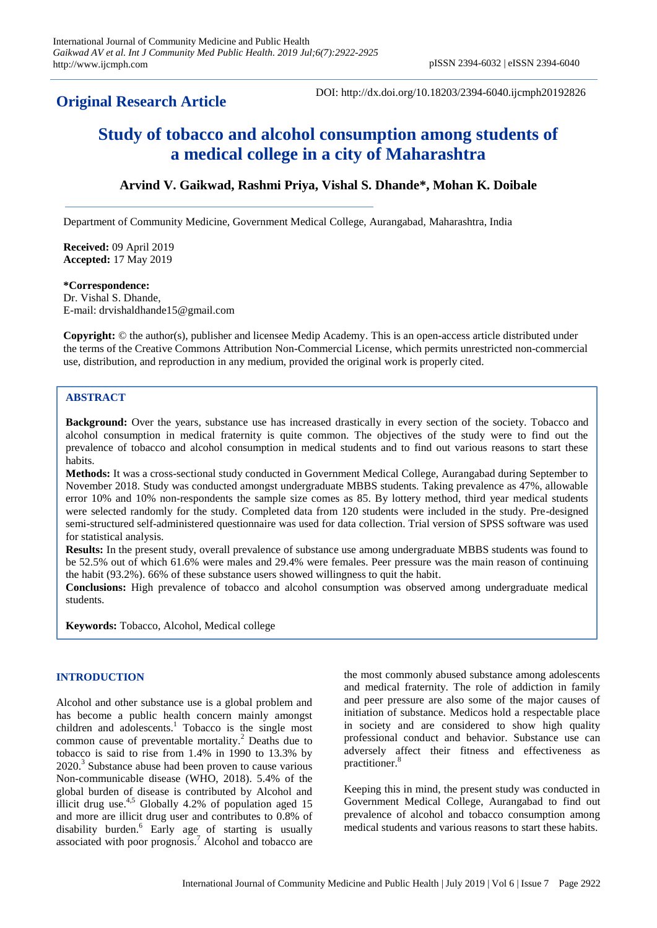# **Original Research Article**

DOI: http://dx.doi.org/10.18203/2394-6040.ijcmph20192826

# **Study of tobacco and alcohol consumption among students of a medical college in a city of Maharashtra**

# **Arvind V. Gaikwad, Rashmi Priya, Vishal S. Dhande\*, Mohan K. Doibale**

Department of Community Medicine, Government Medical College, Aurangabad, Maharashtra, India

**Received:** 09 April 2019 **Accepted:** 17 May 2019

#### **\*Correspondence:**

Dr. Vishal S. Dhande, E-mail: drvishaldhande15@gmail.com

**Copyright:** © the author(s), publisher and licensee Medip Academy. This is an open-access article distributed under the terms of the Creative Commons Attribution Non-Commercial License, which permits unrestricted non-commercial use, distribution, and reproduction in any medium, provided the original work is properly cited.

### **ABSTRACT**

**Background:** Over the years, substance use has increased drastically in every section of the society. Tobacco and alcohol consumption in medical fraternity is quite common. The objectives of the study were to find out the prevalence of tobacco and alcohol consumption in medical students and to find out various reasons to start these habits.

**Methods:** It was a cross-sectional study conducted in Government Medical College, Aurangabad during September to November 2018. Study was conducted amongst undergraduate MBBS students. Taking prevalence as 47%, allowable error 10% and 10% non-respondents the sample size comes as 85. By lottery method, third year medical students were selected randomly for the study. Completed data from 120 students were included in the study. Pre-designed semi-structured self-administered questionnaire was used for data collection. Trial version of SPSS software was used for statistical analysis.

**Results:** In the present study, overall prevalence of substance use among undergraduate MBBS students was found to be 52.5% out of which 61.6% were males and 29.4% were females. Peer pressure was the main reason of continuing the habit (93.2%). 66% of these substance users showed willingness to quit the habit.

**Conclusions:** High prevalence of tobacco and alcohol consumption was observed among undergraduate medical students.

**Keywords:** Tobacco, Alcohol, Medical college

# **INTRODUCTION**

Alcohol and other substance use is a global problem and has become a public health concern mainly amongst children and adolescents. <sup>1</sup> Tobacco is the single most common cause of preventable mortality. <sup>2</sup> Deaths due to tobacco is said to rise from 1.4% in 1990 to 13.3% by 2020. 3 Substance abuse had been proven to cause various Non-communicable disease (WHO, 2018). 5.4% of the global burden of disease is contributed by Alcohol and illicit drug use.<sup>4,5</sup> Globally 4.2% of population aged 15 and more are illicit drug user and contributes to 0.8% of disability burden. <sup>6</sup> Early age of starting is usually associated with poor prognosis. <sup>7</sup> Alcohol and tobacco are the most commonly abused substance among adolescents and medical fraternity. The role of addiction in family and peer pressure are also some of the major causes of initiation of substance. Medicos hold a respectable place in society and are considered to show high quality professional conduct and behavior. Substance use can adversely affect their fitness and effectiveness as practitioner. 8

Keeping this in mind, the present study was conducted in Government Medical College, Aurangabad to find out prevalence of alcohol and tobacco consumption among medical students and various reasons to start these habits.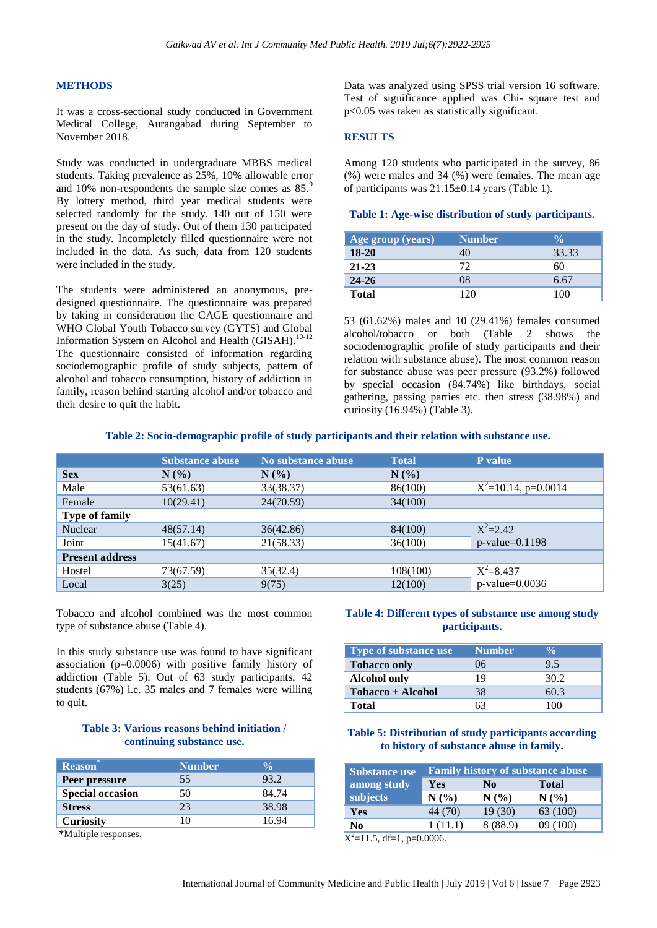#### **METHODS**

It was a cross-sectional study conducted in Government Medical College, Aurangabad during September to November 2018.

Study was conducted in undergraduate MBBS medical students. Taking prevalence as 25%, 10% allowable error and 10% non-respondents the sample size comes as 85.<sup>9</sup> By lottery method, third year medical students were selected randomly for the study. 140 out of 150 were present on the day of study. Out of them 130 participated in the study. Incompletely filled questionnaire were not included in the data. As such, data from 120 students were included in the study.

The students were administered an anonymous, predesigned questionnaire. The questionnaire was prepared by taking in consideration the CAGE questionnaire and WHO Global Youth Tobacco survey (GYTS) and Global Information System on Alcohol and Health (GISAH).<sup>10-12</sup> The questionnaire consisted of information regarding sociodemographic profile of study subjects, pattern of alcohol and tobacco consumption, history of addiction in family, reason behind starting alcohol and/or tobacco and their desire to quit the habit.

Data was analyzed using SPSS trial version 16 software. Test of significance applied was Chi- square test and p<0.05 was taken as statistically significant.

#### **RESULTS**

Among 120 students who participated in the survey, 86 (%) were males and 34 (%) were females. The mean age of participants was  $21.15\pm0.14$  years (Table 1).

#### **Table 1: Age-wise distribution of study participants.**

| Age group (years) | <b>Number</b> |       |
|-------------------|---------------|-------|
| $18-20$           |               | 33.33 |
| $21 - 23$         | 77            | 60    |
| $24 - 26$         | 08            | 6.67  |
| <b>Total</b>      | 120           | 100   |

53 (61.62%) males and 10 (29.41%) females consumed alcohol/tobacco or both (Table 2 shows the sociodemographic profile of study participants and their relation with substance abuse). The most common reason for substance abuse was peer pressure (93.2%) followed by special occasion (84.74%) like birthdays, social gathering, passing parties etc. then stress (38.98%) and curiosity (16.94%) (Table 3).

|                        | <b>Substance abuse</b> | No substance abuse | <b>Total</b> | P value                |
|------------------------|------------------------|--------------------|--------------|------------------------|
| <b>Sex</b>             | $N(\%)$                | $N(\%)$            | $N(\%)$      |                        |
| Male                   | 53(61.63)              | 33(38.37)          | 86(100)      | $X^2=10.14$ , p=0.0014 |
| Female                 | 10(29.41)              | 24(70.59)          | 34(100)      |                        |
| <b>Type of family</b>  |                        |                    |              |                        |
| Nuclear                | 48(57.14)              | 36(42.86)          | 84(100)      | $X^2 = 2.42$           |
| Joint                  | 15(41.67)              | 21(58.33)          | 36(100)      | $p$ -value=0.1198      |
| <b>Present address</b> |                        |                    |              |                        |
| Hostel                 | 73(67.59)              | 35(32.4)           | 108(100)     | $X^2 = 8.437$          |
| Local                  | 3(25)                  | 9(75)              | 12(100)      | $p$ -value= $0.0036$   |

Tobacco and alcohol combined was the most common type of substance abuse (Table 4).

In this study substance use was found to have significant association (p=0.0006) with positive family history of addiction (Table 5). Out of 63 study participants, 42 students (67%) i.e. 35 males and 7 females were willing to quit.

# **Table 3: Various reasons behind initiation / continuing substance use.**

| <b>Reason</b>           | <b>Number</b> |       |
|-------------------------|---------------|-------|
| Peer pressure           | 55            | 93.2  |
| <b>Special occasion</b> | 50            | 84.74 |
| <b>Stress</b>           | 23            | 38.98 |
| <b>Curiosity</b>        |               | 16.94 |

**\***Multiple responses.

#### **Table 4: Different types of substance use among study participants.**

| Type of substance use | <b>Number</b> |      |
|-----------------------|---------------|------|
| <b>Tobacco only</b>   | 06            | 9.5  |
| <b>Alcohol only</b>   | 19            | 30.2 |
| Tobacco + Alcohol     | 38            | 60.3 |
| Total                 |               | 100  |

#### **Table 5: Distribution of study participants according to history of substance abuse in family.**

| <b>Substance use</b>              | <b>Family history of substance abuse</b> |         |              |
|-----------------------------------|------------------------------------------|---------|--------------|
| among study                       | Yes                                      | N0      | <b>Total</b> |
| subjects                          | N(%)                                     | N(%     | $N(\%)$      |
| Yes                               | 44 (70)                                  | 19(30)  | 63 (100)     |
| N <sub>0</sub>                    | 1(11.1)                                  | 8(88.9) | 09 (100)     |
| $-1$<br>$\sim$ $\sim$<br>$\cdots$ | 0.0001                                   |         |              |

 $X^2$ =11.5, df=1, p=0.0006.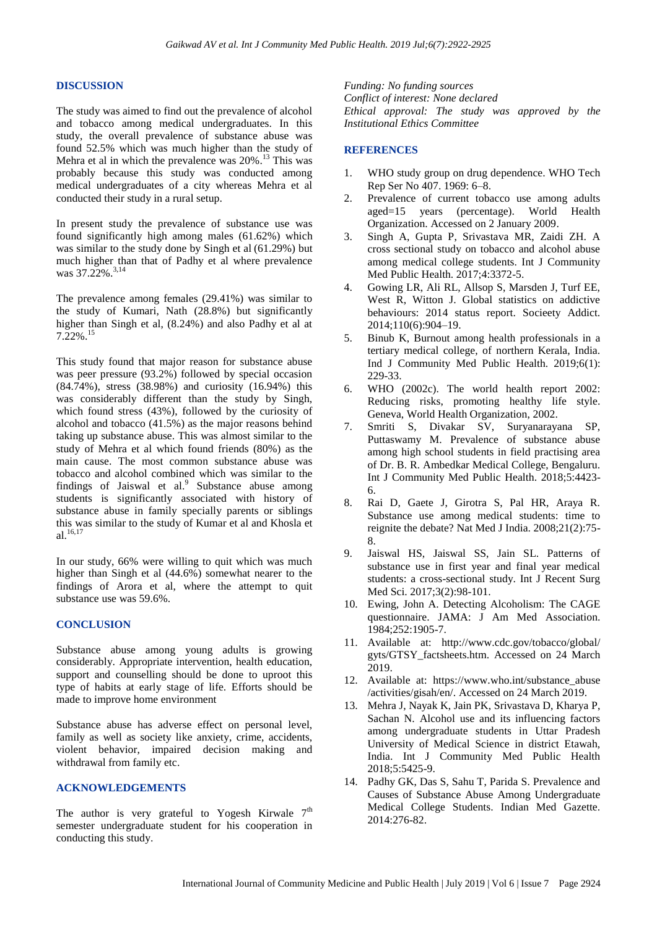#### **DISCUSSION**

The study was aimed to find out the prevalence of alcohol and tobacco among medical undergraduates. In this study, the overall prevalence of substance abuse was found 52.5% which was much higher than the study of Mehra et al in which the prevalence was  $20\%$ .<sup>13</sup> This was probably because this study was conducted among medical undergraduates of a city whereas Mehra et al conducted their study in a rural setup.

In present study the prevalence of substance use was found significantly high among males (61.62%) which was similar to the study done by Singh et al (61.29%) but much higher than that of Padhy et al where prevalence was 37.22%.<sup>3,14</sup>

The prevalence among females (29.41%) was similar to the study of Kumari, Nath (28.8%) but significantly higher than Singh et al, (8.24%) and also Padhy et al at 7.22%.<sup>15</sup>

This study found that major reason for substance abuse was peer pressure (93.2%) followed by special occasion (84.74%), stress (38.98%) and curiosity (16.94%) this was considerably different than the study by Singh, which found stress (43%), followed by the curiosity of alcohol and tobacco (41.5%) as the major reasons behind taking up substance abuse. This was almost similar to the study of Mehra et al which found friends (80%) as the main cause. The most common substance abuse was tobacco and alcohol combined which was similar to the findings of Jaiswal et al. $9$  Substance abuse among students is significantly associated with history of substance abuse in family specially parents or siblings this was similar to the study of Kumar et al and Khosla et al. 16,17

In our study, 66% were willing to quit which was much higher than Singh et al (44.6%) somewhat nearer to the findings of Arora et al, where the attempt to quit substance use was 59.6%.

#### **CONCLUSION**

Substance abuse among young adults is growing considerably. Appropriate intervention, health education, support and counselling should be done to uproot this type of habits at early stage of life. Efforts should be made to improve home environment

Substance abuse has adverse effect on personal level, family as well as society like anxiety, crime, accidents, violent behavior, impaired decision making and withdrawal from family etc.

# **ACKNOWLEDGEMENTS**

The author is very grateful to Yogesh Kirwale  $7<sup>th</sup>$ semester undergraduate student for his cooperation in conducting this study.

*Funding: No funding sources Conflict of interest: None declared Ethical approval: The study was approved by the Institutional Ethics Committee*

# **REFERENCES**

- 1. WHO study group on drug dependence. WHO Tech Rep Ser No 407. 1969: 6–8.
- 2. Prevalence of current tobacco use among adults aged=15 years (percentage). World Health Organization. Accessed on 2 January 2009.
- 3. Singh A, Gupta P, Srivastava MR, Zaidi ZH. A cross sectional study on tobacco and alcohol abuse among medical college students. Int J Community Med Public Health. 2017;4:3372-5.
- 4. Gowing LR, Ali RL, Allsop S, Marsden J, Turf EE, West R. Witton J. Global statistics on addictive behaviours: 2014 status report. Socieety Addict. 2014;110(6):904–19.
- 5. Binub K, Burnout among health professionals in a tertiary medical college, of northern Kerala, India. Ind J Community Med Public Health. 2019;6(1): 229-33.
- 6. WHO (2002c). The world health report 2002: Reducing risks, promoting healthy life style. Geneva, World Health Organization, 2002.
- 7. Smriti S, Divakar SV, Suryanarayana SP, Puttaswamy M. Prevalence of substance abuse among high school students in field practising area of Dr. B. R. Ambedkar Medical College, Bengaluru. Int J Community Med Public Health. 2018;5:4423- 6.
- 8. Rai D, Gaete J, Girotra S, Pal HR, Araya R. Substance use among medical students: time to reignite the debate? Nat Med J India. 2008;21(2):75- 8.
- 9. Jaiswal HS, Jaiswal SS, Jain SL. Patterns of substance use in first year and final year medical students: a cross-sectional study. Int J Recent Surg Med Sci. 2017;3(2):98-101.
- 10. Ewing, John A. Detecting Alcoholism: The CAGE questionnaire. JAMA: J Am Med Association. 1984;252:1905-7.
- 11. Available at: http://www.cdc.gov/tobacco/global/ gyts/GTSY\_factsheets.htm. Accessed on 24 March 2019.
- 12. Available at: https://www.who.int/substance\_abuse /activities/gisah/en/. Accessed on 24 March 2019.
- 13. Mehra J, Nayak K, Jain PK, Srivastava D, Kharya P, Sachan N. Alcohol use and its influencing factors among undergraduate students in Uttar Pradesh University of Medical Science in district Etawah, India. Int J Community Med Public Health 2018;5:5425-9.
- 14. Padhy GK, Das S, Sahu T, Parida S. Prevalence and Causes of Substance Abuse Among Undergraduate Medical College Students. Indian Med Gazette. 2014:276-82.